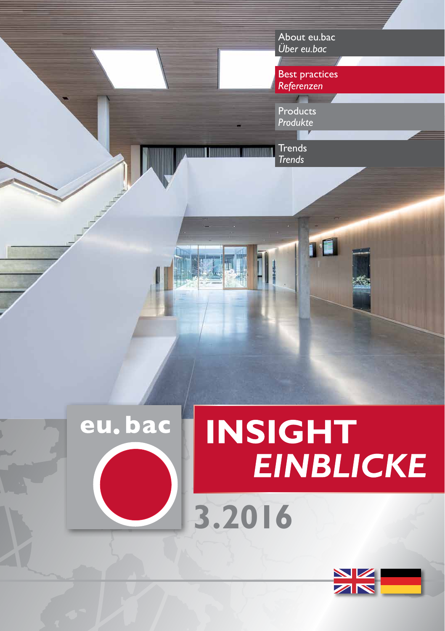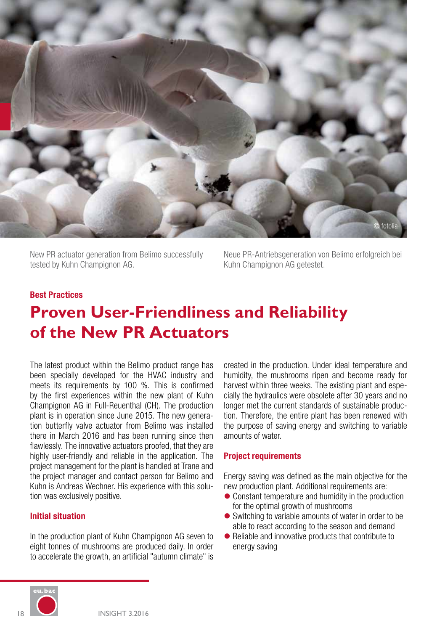

New PR actuator generation from Belimo successfully tested by Kuhn Champignon AG.

Neue PR-Antriebsgeneration von Belimo erfolgreich bei Kuhn Champignon AG getestet.

### **Best Practices**

# **Proven User-Friendliness and Reliability of the New PR Actuators**

The latest product within the Belimo product range has been specially developed for the HVAC industry and meets its requirements by 100 %. This is confirmed by the first experiences within the new plant of Kuhn Champignon AG in Full-Reuenthal (CH). The production plant is in operation since June 2015. The new generation butterfly valve actuator from Belimo was installed there in March 2016 and has been running since then flawlessly. The innovative actuators proofed, that they are highly user-friendly and reliable in the application. The project management for the plant is handled at Trane and the project manager and contact person for Belimo and Kuhn is Andreas Wechner. His experience with this solution was exclusively positive.

### **Initial situation**

In the production plant of Kuhn Champignon AG seven to eight tonnes of mushrooms are produced daily. In order to accelerate the growth, an artificial "autumn climate" is

created in the production. Under ideal temperature and humidity, the mushrooms ripen and become ready for harvest within three weeks. The existing plant and especially the hydraulics were obsolete after 30 years and no longer met the current standards of sustainable production. Therefore, the entire plant has been renewed with the purpose of saving energy and switching to variable amounts of water.

#### **Project requirements**

Energy saving was defined as the main objective for the new production plant. Additional requirements are:

- $\bullet$  Constant temperature and humidity in the production for the optimal growth of mushrooms
- $\bullet$  Switching to variable amounts of water in order to be able to react according to the season and demand
- $\bullet$  Reliable and innovative products that contribute to energy saving

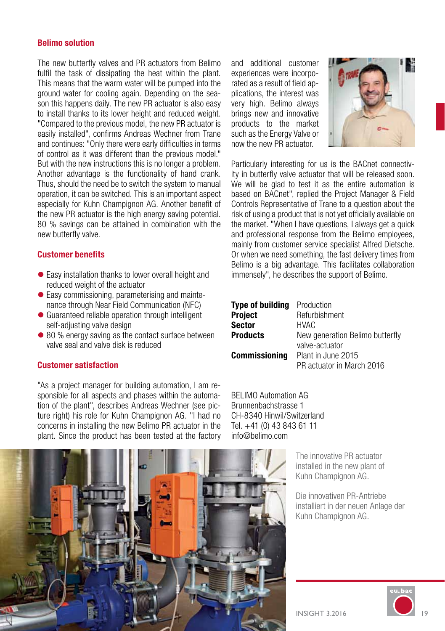### **Belimo solution**

The new butterfly valves and PR actuators from Belimo fulfil the task of dissipating the heat within the plant. This means that the warm water will be pumped into the ground water for cooling again. Depending on the season this happens daily. The new PR actuator is also easy to install thanks to its lower height and reduced weight "Compared to the previous model, the new PR actuator is easily installed", confirms Andreas Wechner from Trane and continues: "Only there were early difficulties in terms of control as it was different than the previous model." But with the new instructions this is no longer a problem. Another advantage is the functionality of hand crank. Thus, should the need be to switch the system to manual operation, it can be switched. This is an important aspect especially for Kuhn Champignon AG. Another benefit of the new PR actuator is the high energy saving potential. 80 % savings can be attained in combination with the new butterfly valve.

### **Customer benefits**

- $\bullet$  Easy installation thanks to lower overall height and reduced weight of the actuator
- $\bullet$  Easy commissioning, parameterising and maintenance through Near Field Communication (NFC)
- $\bullet$  Guaranteed reliable operation through intelligent self-adjusting valve design
- 80 % energy saving as the contact surface between valve seal and valve disk is reduced

### **Customer satisfaction**

"As a project manager for building automation, I am responsible for all aspects and phases within the automation of the plant", describes Andreas Wechner (see picture right) his role for Kuhn Champignon AG. "I had no concerns in installing the new Belimo PR actuator in the plant. Since the product has been tested at the factory

and additional customer experiences were incorporated as a result of field applications, the interest was very high. Belimo always brings new and innovative products to the market such as the Energy Valve or now the new PR actuator.



Particularly interesting for us is the BACnet connectivity in butterfly valve actuator that will be released soon. We will be glad to test it as the entire automation is based on BACnet", replied the Project Manager & Field Controls Representative of Trane to a question about the risk of using a product that is not yet officially available on the market. "When I have questions, I always get a quick and professional response from the Belimo employees, mainly from customer service specialist Alfred Dietsche. Or when we need something, the fast delivery times from Belimo is a big advantage. This facilitates collaboration immensely", he describes the support of Belimo.

| <b>Type of building</b> | Production                      |
|-------------------------|---------------------------------|
| <b>Project</b>          | Refurbishment                   |
| <b>Sector</b>           | <b>HVAC</b>                     |
| <b>Products</b>         | New generation Belimo butterfly |
|                         | valve-actuator                  |
| <b>Commissioning</b>    | Plant in June 2015              |
|                         | PR actuator in March 2016       |

BELIMO Automation AG Brunnenbachstrasse 1 CH-8340 Hinwil/Switzerland Tel. +41 (0) 43 843 61 11 info@belimo.com

> The innovative PR actuator installed in the new plant of Kuhn Champignon AG.

Die innovativen PR-Antriebe installiert in der neuen Anlage der Kuhn Champignon AG.



INSIGHT 3.2016